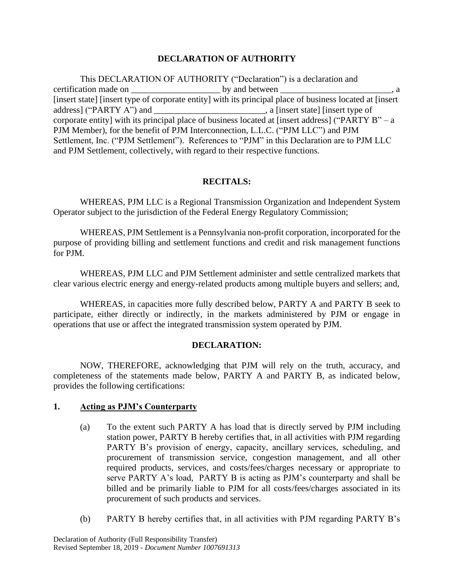# **DECLARATION OF AUTHORITY**

This DECLARATION OF AUTHORITY ("Declaration") is a declaration and certification made on \_\_\_\_\_\_\_\_\_\_\_\_\_\_\_\_\_\_\_\_ by and between \_\_\_\_\_\_\_\_\_\_\_\_\_\_\_\_\_\_\_\_\_\_\_\_\_, a [insert state] [insert type of corporate entity] with its principal place of business located at [insert address] ("PARTY A") and \_\_\_\_\_\_\_\_\_\_\_\_\_\_\_\_\_\_\_\_\_\_\_\_\_, a [insert state] [insert type of corporate entity] with its principal place of business located at [insert address] ("PARTY  $B" - a$ PJM Member), for the benefit of PJM Interconnection, L.L.C. ("PJM LLC") and PJM Settlement, Inc. ("PJM Settlement"). References to "PJM" in this Declaration are to PJM LLC and PJM Settlement, collectively, with regard to their respective functions.

# **RECITALS:**

WHEREAS, PJM LLC is a Regional Transmission Organization and Independent System Operator subject to the jurisdiction of the Federal Energy Regulatory Commission;

WHEREAS, PJM Settlement is a Pennsylvania non-profit corporation, incorporated for the purpose of providing billing and settlement functions and credit and risk management functions for PJM.

WHEREAS, PJM LLC and PJM Settlement administer and settle centralized markets that clear various electric energy and energy-related products among multiple buyers and sellers; and,

WHEREAS, in capacities more fully described below, PARTY A and PARTY B seek to participate, either directly or indirectly, in the markets administered by PJM or engage in operations that use or affect the integrated transmission system operated by PJM.

### **DECLARATION:**

NOW, THEREFORE, acknowledging that PJM will rely on the truth, accuracy, and completeness of the statements made below, PARTY A and PARTY B, as indicated below, provides the following certifications:

### **1. Acting as PJM's Counterparty**

- (a) To the extent such PARTY A has load that is directly served by PJM including station power, PARTY B hereby certifies that, in all activities with PJM regarding PARTY B's provision of energy, capacity, ancillary services, scheduling, and procurement of transmission service, congestion management, and all other required products, services, and costs/fees/charges necessary or appropriate to serve PARTY A's load, PARTY B is acting as PJM's counterparty and shall be billed and be primarily liable to PJM for all costs/fees/charges associated in its procurement of such products and services.
- (b) PARTY B hereby certifies that, in all activities with PJM regarding PARTY B's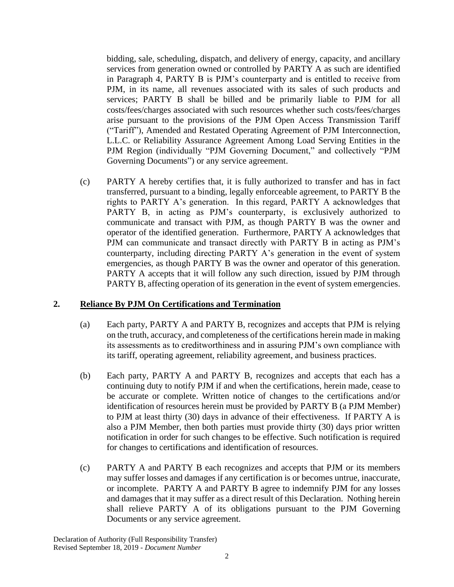bidding, sale, scheduling, dispatch, and delivery of energy, capacity, and ancillary services from generation owned or controlled by PARTY A as such are identified in Paragraph 4, PARTY B is PJM's counterparty and is entitled to receive from PJM, in its name, all revenues associated with its sales of such products and services; PARTY B shall be billed and be primarily liable to PJM for all costs/fees/charges associated with such resources whether such costs/fees/charges arise pursuant to the provisions of the PJM Open Access Transmission Tariff ("Tariff"), Amended and Restated Operating Agreement of PJM Interconnection, L.L.C. or Reliability Assurance Agreement Among Load Serving Entities in the PJM Region (individually "PJM Governing Document," and collectively "PJM Governing Documents") or any service agreement.

(c) PARTY A hereby certifies that, it is fully authorized to transfer and has in fact transferred, pursuant to a binding, legally enforceable agreement, to PARTY B the rights to PARTY A's generation. In this regard, PARTY A acknowledges that PARTY B, in acting as PJM's counterparty, is exclusively authorized to communicate and transact with PJM, as though PARTY B was the owner and operator of the identified generation. Furthermore, PARTY A acknowledges that PJM can communicate and transact directly with PARTY B in acting as PJM's counterparty, including directing PARTY A's generation in the event of system emergencies, as though PARTY B was the owner and operator of this generation. PARTY A accepts that it will follow any such direction, issued by PJM through PARTY B, affecting operation of its generation in the event of system emergencies.

### **2. Reliance By PJM On Certifications and Termination**

- (a) Each party, PARTY A and PARTY B, recognizes and accepts that PJM is relying on the truth, accuracy, and completeness of the certifications herein made in making its assessments as to creditworthiness and in assuring PJM's own compliance with its tariff, operating agreement, reliability agreement, and business practices.
- (b) Each party, PARTY A and PARTY B, recognizes and accepts that each has a continuing duty to notify PJM if and when the certifications, herein made, cease to be accurate or complete. Written notice of changes to the certifications and/or identification of resources herein must be provided by PARTY B (a PJM Member) to PJM at least thirty (30) days in advance of their effectiveness. If PARTY A is also a PJM Member, then both parties must provide thirty (30) days prior written notification in order for such changes to be effective. Such notification is required for changes to certifications and identification of resources.
- (c) PARTY A and PARTY B each recognizes and accepts that PJM or its members may suffer losses and damages if any certification is or becomes untrue, inaccurate, or incomplete. PARTY A and PARTY B agree to indemnify PJM for any losses and damages that it may suffer as a direct result of this Declaration. Nothing herein shall relieve PARTY A of its obligations pursuant to the PJM Governing Documents or any service agreement.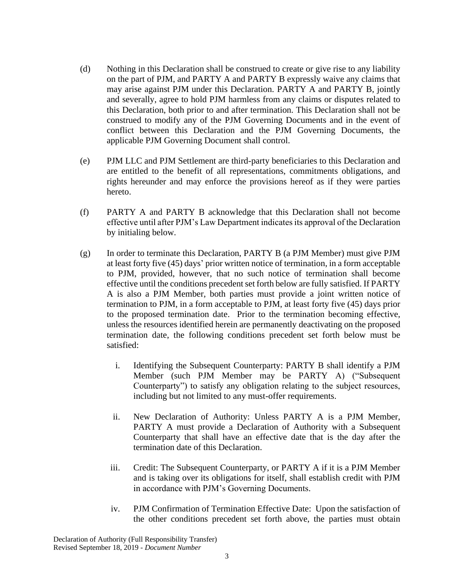- (d) Nothing in this Declaration shall be construed to create or give rise to any liability on the part of PJM, and PARTY A and PARTY B expressly waive any claims that may arise against PJM under this Declaration. PARTY A and PARTY B, jointly and severally, agree to hold PJM harmless from any claims or disputes related to this Declaration, both prior to and after termination. This Declaration shall not be construed to modify any of the PJM Governing Documents and in the event of conflict between this Declaration and the PJM Governing Documents, the applicable PJM Governing Document shall control.
- (e) PJM LLC and PJM Settlement are third-party beneficiaries to this Declaration and are entitled to the benefit of all representations, commitments obligations, and rights hereunder and may enforce the provisions hereof as if they were parties hereto.
- (f) PARTY A and PARTY B acknowledge that this Declaration shall not become effective until after PJM's Law Department indicates its approval of the Declaration by initialing below.
- (g) In order to terminate this Declaration, PARTY B (a PJM Member) must give PJM at least forty five (45) days' prior written notice of termination, in a form acceptable to PJM, provided, however, that no such notice of termination shall become effective until the conditions precedent set forth below are fully satisfied. If PARTY A is also a PJM Member, both parties must provide a joint written notice of termination to PJM, in a form acceptable to PJM, at least forty five (45) days prior to the proposed termination date. Prior to the termination becoming effective, unless the resources identified herein are permanently deactivating on the proposed termination date, the following conditions precedent set forth below must be satisfied:
	- i. Identifying the Subsequent Counterparty: PARTY B shall identify a PJM Member (such PJM Member may be PARTY A) ("Subsequent Counterparty") to satisfy any obligation relating to the subject resources, including but not limited to any must-offer requirements.
	- ii. New Declaration of Authority: Unless PARTY A is a PJM Member, PARTY A must provide a Declaration of Authority with a Subsequent Counterparty that shall have an effective date that is the day after the termination date of this Declaration.
	- iii. Credit: The Subsequent Counterparty, or PARTY A if it is a PJM Member and is taking over its obligations for itself, shall establish credit with PJM in accordance with PJM's Governing Documents.
	- iv. PJM Confirmation of Termination Effective Date: Upon the satisfaction of the other conditions precedent set forth above, the parties must obtain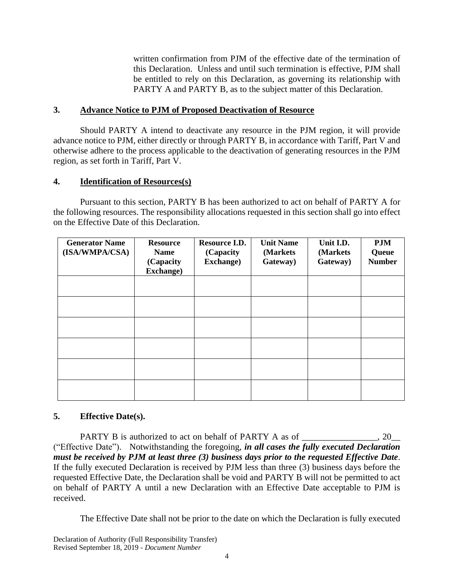written confirmation from PJM of the effective date of the termination of this Declaration. Unless and until such termination is effective, PJM shall be entitled to rely on this Declaration, as governing its relationship with PARTY A and PARTY B, as to the subject matter of this Declaration.

# **3. Advance Notice to PJM of Proposed Deactivation of Resource**

Should PARTY A intend to deactivate any resource in the PJM region, it will provide advance notice to PJM, either directly or through PARTY B, in accordance with Tariff, Part V and otherwise adhere to the process applicable to the deactivation of generating resources in the PJM region, as set forth in Tariff, Part V.

# **4. Identification of Resources(s)**

Pursuant to this section, PARTY B has been authorized to act on behalf of PARTY A for the following resources. The responsibility allocations requested in this section shall go into effect on the Effective Date of this Declaration.

| <b>Generator Name</b><br>(ISA/WMPA/CSA) | <b>Resource</b><br><b>Name</b><br>(Capacity<br><b>Exchange)</b> | Resource I.D.<br>(Capacity<br>Exchange) | <b>Unit Name</b><br>(Markets)<br>Gateway) | Unit I.D.<br>(Markets<br>Gateway) | <b>PJM</b><br>Queue<br><b>Number</b> |
|-----------------------------------------|-----------------------------------------------------------------|-----------------------------------------|-------------------------------------------|-----------------------------------|--------------------------------------|
|                                         |                                                                 |                                         |                                           |                                   |                                      |
|                                         |                                                                 |                                         |                                           |                                   |                                      |
|                                         |                                                                 |                                         |                                           |                                   |                                      |
|                                         |                                                                 |                                         |                                           |                                   |                                      |
|                                         |                                                                 |                                         |                                           |                                   |                                      |
|                                         |                                                                 |                                         |                                           |                                   |                                      |

# **5. Effective Date(s).**

PARTY B is authorized to act on behalf of PARTY A as of  $\cdot$  20 ("Effective Date"). Notwithstanding the foregoing, *in all cases the fully executed Declaration must be received by PJM at least three (3) business days prior to the requested Effective Date*. If the fully executed Declaration is received by PJM less than three (3) business days before the requested Effective Date, the Declaration shall be void and PARTY B will not be permitted to act on behalf of PARTY A until a new Declaration with an Effective Date acceptable to PJM is received.

The Effective Date shall not be prior to the date on which the Declaration is fully executed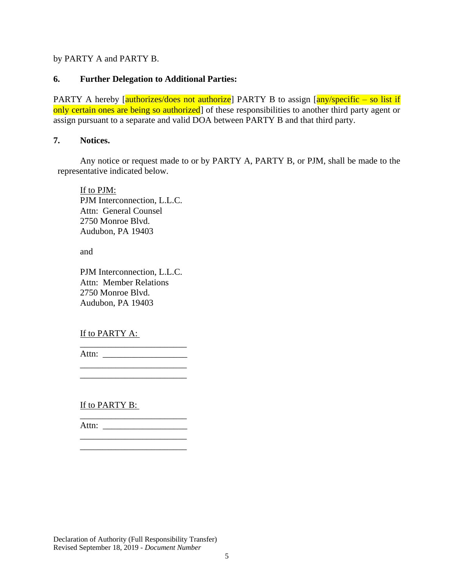by PARTY A and PARTY B.

### **6. Further Delegation to Additional Parties:**

PARTY A hereby  $\lceil \frac{\text{authorizes/does not authorized} }{\text{Pattern} \cdot \text{PARTY}} \rceil$  to assign  $\lceil \frac{\text{any/specific} - \text{so list if}}{\text{PARTY}} \rceil$ only certain ones are being so authorized] of these responsibilities to another third party agent or assign pursuant to a separate and valid DOA between PARTY B and that third party.

#### **7. Notices.**

Any notice or request made to or by PARTY A, PARTY B, or PJM, shall be made to the representative indicated below.

If to PJM: PJM Interconnection, L.L.C. Attn: General Counsel 2750 Monroe Blvd. Audubon, PA 19403

and

PJM Interconnection, L.L.C. Attn: Member Relations 2750 Monroe Blvd. Audubon, PA 19403

### If to PARTY A:

Attn: \_\_\_\_\_\_\_\_\_\_\_\_\_\_\_\_\_\_\_

\_\_\_\_\_\_\_\_\_\_\_\_\_\_\_\_\_\_\_\_\_\_\_\_

\_\_\_\_\_\_\_\_\_\_\_\_\_\_\_\_\_\_\_\_\_\_\_\_

 $\frac{1}{2}$  ,  $\frac{1}{2}$  ,  $\frac{1}{2}$  ,  $\frac{1}{2}$  ,  $\frac{1}{2}$ 

If to PARTY B:

\_\_\_\_\_\_\_\_\_\_\_\_\_\_\_\_\_\_\_\_\_\_\_\_ Attn: \_\_\_\_\_\_\_\_\_\_\_\_\_\_\_\_\_\_\_

\_\_\_\_\_\_\_\_\_\_\_\_\_\_\_\_\_\_\_\_\_\_\_\_

Declaration of Authority (Full Responsibility Transfer) Revised September 18, 2019 - *Document Number*